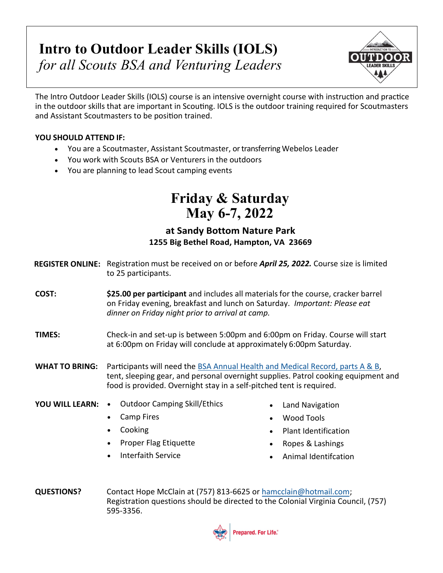# **Intro to Outdoor Leader Skills (IOLS)** *for all Scouts BSA and Venturing Leaders*



The Intro Outdoor Leader Skills (IOLS) course is an intensive overnight course with instruction and practice in the outdoor skills that are important in Scouting. IOLS is the outdoor training required for Scoutmasters and Assistant Scoutmasters to be position trained.

### **YOU SHOULD ATTEND IF:**

- You are a Scoutmaster, Assistant Scoutmaster, or transferring Webelos Leader
- You work with Scouts BSA or Venturers in the outdoors
- You are planning to lead Scout camping events

## **Friday & Saturday May 6-7, 2022**

### **at Sandy Bottom Nature Park [1255 Big Bethel Road, Hampton, VA](https://illowabsa.org/upcoming-events) 23669**

- REGISTER ONLINE: Registration must be received on or before *April 25, 2022.* Course size is limited to 25 participants.
- **COST: \$25.00 per participant** and includes all materials for the course, cracker barrel on Friday evening, breakfast and lunch on Saturday. *Important: Please eat dinner on Friday night prior to arrival at camp.*
- **TIMES:** Check-in and set-up is between 5:00pm and 6:00pm on Friday. Course will start at 6:00pm on Friday will conclude at approximately 6:00pm Saturday.
- **WHAT TO BRING:** Participants will need the [BSA Annual Health and Medical Record, parts](https://www.scouting.org/health-and-safety/ahmr/) A & B, tent, sleeping gear, and personal overnight supplies. Patrol cooking equipment and food is provided. Overnight stay in a self-pitched tent is required.
- **YOU WILL LEARN:** Outdoor Camping Skill/Ethics
	- Camp Fires
	- Cooking
	- Proper Flag Etiquette
	- Interfaith Service
- Land Navigation
- Wood Tools
- Plant Identification
- Ropes & Lashings
- Animal Identifcation
- **QUESTIONS?** Contact Hope McClain at (757) 813-6625 or ha[mcclain@hotmail.com](mailto:drtorsney@msn.com); Registration questions should be directed to the Colonial Virginia Council, (757) 595-3356.